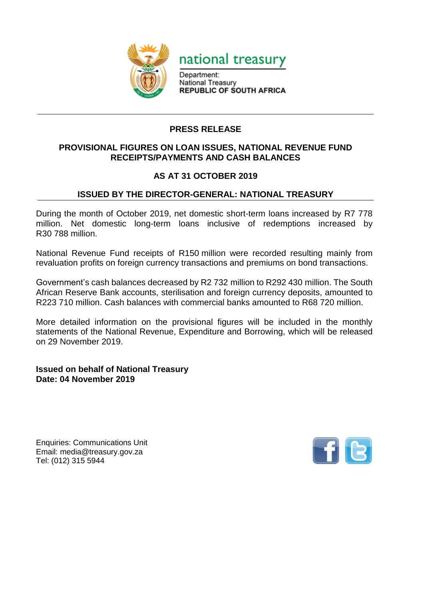



Department: National Treasury **REPUBLIC OF SOUTH AFRICA** 

## **PRESS RELEASE**

## **PROVISIONAL FIGURES ON LOAN ISSUES, NATIONAL REVENUE FUND RECEIPTS/PAYMENTS AND CASH BALANCES**

## **AS AT 31 OCTOBER 2019**

## **ISSUED BY THE DIRECTOR-GENERAL: NATIONAL TREASURY**

During the month of October 2019, net domestic short-term loans increased by R7 778 million. Net domestic long-term loans inclusive of redemptions increased by R30 788 million.

National Revenue Fund receipts of R150 million were recorded resulting mainly from revaluation profits on foreign currency transactions and premiums on bond transactions.

Government's cash balances decreased by R2 732 million to R292 430 million. The South African Reserve Bank accounts, sterilisation and foreign currency deposits, amounted to R223 710 million. Cash balances with commercial banks amounted to R68 720 million.

More detailed information on the provisional figures will be included in the monthly statements of the National Revenue, Expenditure and Borrowing, which will be released on 29 November 2019.

**Issued on behalf of National Treasury Date: 04 November 2019**

Enquiries: Communications Unit Email: media@treasury.gov.za Tel: (012) 315 5944